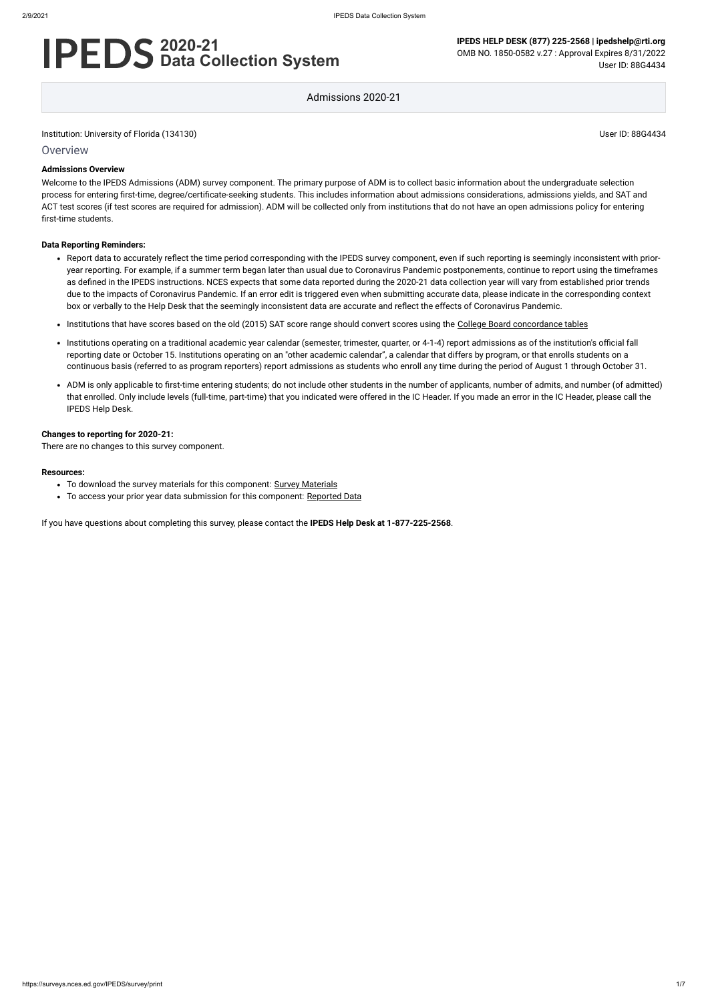#### Institution: University of Florida (134130) User ID: 88G4434

**Overview** 

# **2020-21 Data Collection System**

**IPEDS HELP DESK (877) 225-2568 | ipedshelp@rti.org** OMB NO. 1850-0582 v.27 : Approval Expires 8/31/2022 User ID: 88G4434

Admissions 2020-21

#### **Admissions Overview**

Welcome to the IPEDS Admissions (ADM) survey component. The primary purpose of ADM is to collect basic information about the undergraduate selection process for entering first-time, degree/certificate-seeking students. This includes information about admissions considerations, admissions yields, and SAT and ACT test scores (if test scores are required for admission). ADM will be collected only from institutions that do not have an open admissions policy for entering first-time students.

#### **Data Reporting Reminders:**

- Report data to accurately reflect the time period corresponding with the IPEDS survey component, even if such reporting is seemingly inconsistent with prioryear reporting. For example, if a summer term began later than usual due to Coronavirus Pandemic postponements, continue to report using the timeframes as defined in the IPEDS instructions. NCES expects that some data reported during the 2020-21 data collection year will vary from established prior trends due to the impacts of Coronavirus Pandemic. If an error edit is triggered even when submitting accurate data, please indicate in the corresponding context box or verbally to the Help Desk that the seemingly inconsistent data are accurate and reflect the effects of Coronavirus Pandemic.
- Institutions that have scores based on the old (2015) SAT score range should convert scores using the [College Board concordance tables](https://collegereadiness.collegeboard.org/educators/higher-ed/scoring-changes/concordance)
- Institutions operating on a traditional academic year calendar (semester, trimester, quarter, or 4-1-4) report admissions as of the institution's official fall reporting date or October 15. Institutions operating on an "other academic calendar", a calendar that differs by program, or that enrolls students on a continuous basis (referred to as program reporters) report admissions as students who enroll any time during the period of August 1 through October 31.
- ADM is only applicable to first-time entering students; do not include other students in the number of applicants, number of admits, and number (of admitted) that enrolled. Only include levels (full-time, part-time) that you indicated were offered in the IC Header. If you made an error in the IC Header, please call the IPEDS Help Desk.

#### **Changes to reporting for 2020-21:**

There are no changes to this survey component.

#### **Resources:**

- To download the survey materials for this component: Survey [Materials](https://surveys.nces.ed.gov/ipeds/public/survey-materials/index)
- To access your prior year data submission for this component: [Reported Data](https://surveys.nces.ed.gov/IPEDS_py/DataForms.aspx?f0e9e4efc4dfb8acaeafacaeaba1eef0edf1e0f4c4dfb8acafa1f0eee0edc4dfb8b3b3c2afafaeafa1f0e9e4efc9dce8e0b8d0e9e4f1e0edeee4eff49beae19bc1e7eaede4dfdca1ebedeadee0eeeeb8e0f3efe0ede9dce7a1eddfefb8adaab4aaadabadac9bacabb5afb0b5abb19bbcc8)

If you have questions about completing this survey, please contact the **IPEDS Help Desk at 1-877-225-2568**.

https://surveys.nces.ed.gov/IPEDS/survey/print 1/7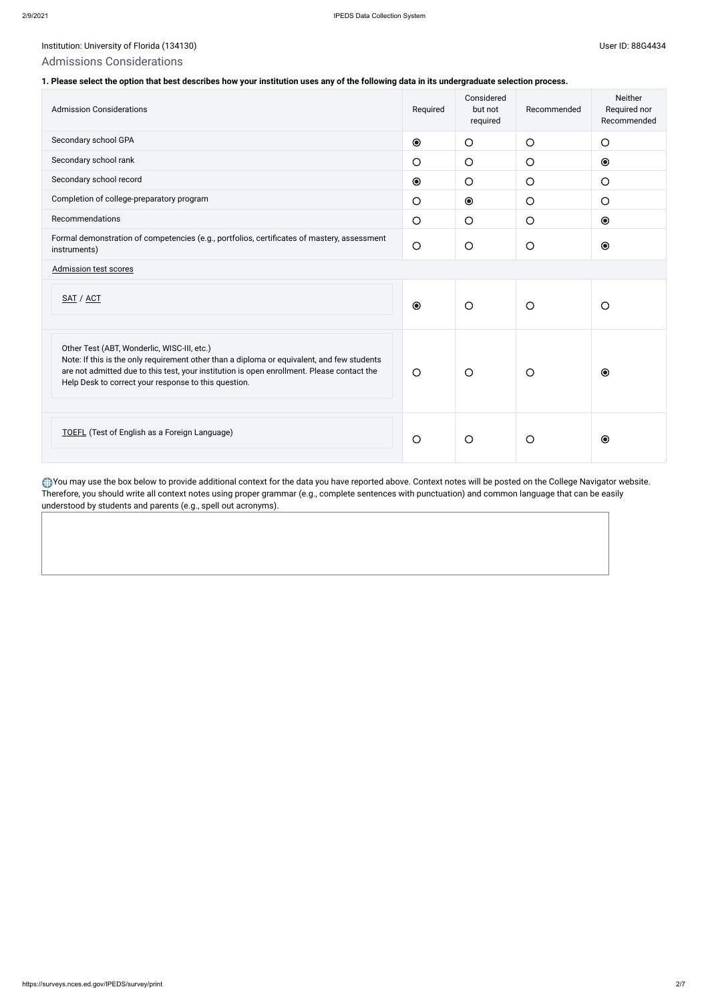### Institution: University of Florida (134130) Channel Base of Physics (134130) User ID: 88G4434

### Admissions Considerations

### **1. Please select the option that best describes how your institution uses any of the following data in its undergraduate selection process.**

| <b>Admission Considerations</b>                                                                                                                                                                                                                                                                 | Required   | Considered<br>but not<br>required | Recommended | <b>Neither</b><br>Required nor<br>Recommended    |
|-------------------------------------------------------------------------------------------------------------------------------------------------------------------------------------------------------------------------------------------------------------------------------------------------|------------|-----------------------------------|-------------|--------------------------------------------------|
| Secondary school GPA                                                                                                                                                                                                                                                                            | $\odot$    | $\bigcirc$                        | $\bigcirc$  | $\bigcirc$                                       |
| Secondary school rank                                                                                                                                                                                                                                                                           | $\bigcirc$ | $\bigcirc$                        | $\bigcirc$  | $\odot$                                          |
| Secondary school record                                                                                                                                                                                                                                                                         | $\odot$    | $\circ$                           | $\bigcirc$  | $\bigcirc$                                       |
| Completion of college-preparatory program                                                                                                                                                                                                                                                       | $\bigcirc$ | $\odot$                           | $\bigcirc$  | $\bigcirc$                                       |
| Recommendations                                                                                                                                                                                                                                                                                 | $\bigcirc$ | $\bigcirc$                        | $\bigcirc$  | $\begin{matrix} \bullet \\ \bullet \end{matrix}$ |
| Formal demonstration of competencies (e.g., portfolios, certificates of mastery, assessment<br>instruments)                                                                                                                                                                                     | $\bigcirc$ | $\bigcirc$                        | $\circ$     | $\odot$                                          |
| <b>Admission test scores</b>                                                                                                                                                                                                                                                                    |            |                                   |             |                                                  |
| SAT / ACT                                                                                                                                                                                                                                                                                       | $\odot$    | $\circ$                           | $\bigcirc$  | $\circ$                                          |
| Other Test (ABT, Wonderlic, WISC-III, etc.)<br>Note: If this is the only requirement other than a diploma or equivalent, and few students<br>are not admitted due to this test, your institution is open enrollment. Please contact the<br>Help Desk to correct your response to this question. | $\bigcirc$ | $\circ$                           | $\bigcirc$  | $\odot$                                          |
| <b>TOEFL</b> (Test of English as a Foreign Language)                                                                                                                                                                                                                                            | $\bigcirc$ | $\circ$                           | $\bigcirc$  | $\odot$                                          |

You may use the box below to provide additional context for the data you have reported above. Context notes will be posted on the College Navigator website. Therefore, you should write all context notes using proper grammar (e.g., complete sentences with punctuation) and common language that can be easily understood by students and parents (e.g., spell out acronyms).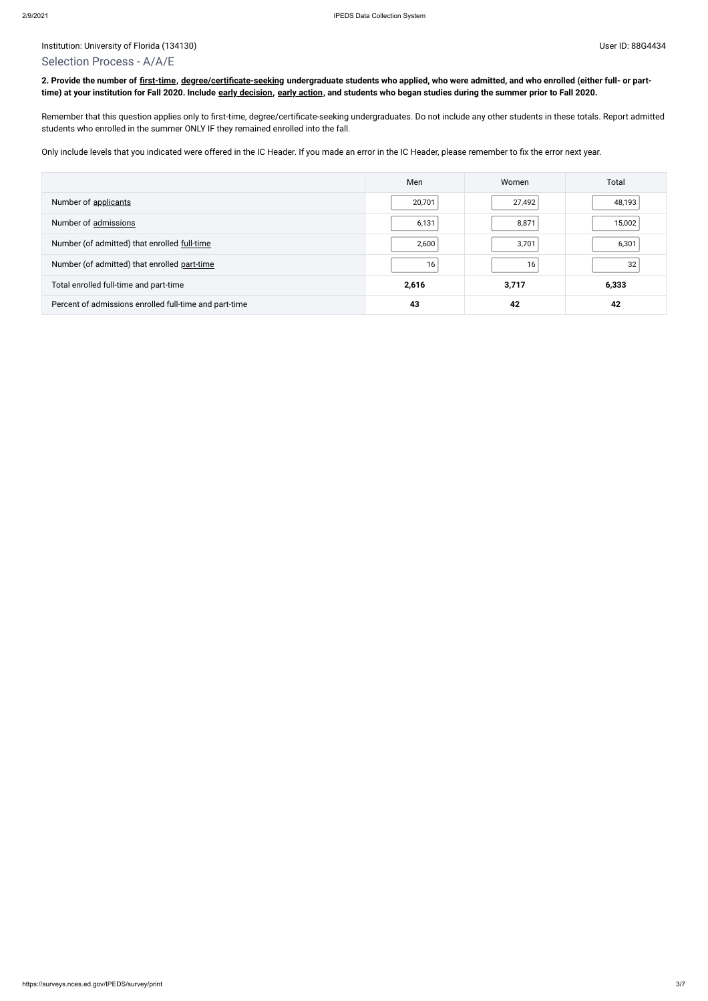### Selection Process - A/A/E

**2. Provide the number of [first-time,](javascript:openglossary(241)) [degree/certificate-seeking](javascript:openglossary(171)) undergraduate students who applied, who were admitted, and who enrolled (either full- or parttime) at your institution for Fall 2020. Include [early decision,](javascript:openglossary(705)) [early action,](javascript:openglossary(703)) and students who began studies during the summer prior to Fall 2020.**

Remember that this question applies only to first-time, degree/certificate-seeking undergraduates. Do not include any other students in these totals. Report admitted students who enrolled in the summer ONLY IF they remained enrolled into the fall.

Only include levels that you indicated were offered in the IC Header. If you made an error in the IC Header, please remember to fix the error next year.

|                                                        | Men    | Women  | Total  |
|--------------------------------------------------------|--------|--------|--------|
| Number of applicants                                   | 20,701 | 27,492 | 48,193 |
| Number of admissions                                   | 6,131  | 8,871  | 15,002 |
| Number (of admitted) that enrolled full-time           | 2,600  | 3,701  | 6,301  |
| Number (of admitted) that enrolled part-time           | 16     | 16     | 32     |
| Total enrolled full-time and part-time                 | 2,616  | 3,717  | 6,333  |
| Percent of admissions enrolled full-time and part-time | 43     | 42     | 42     |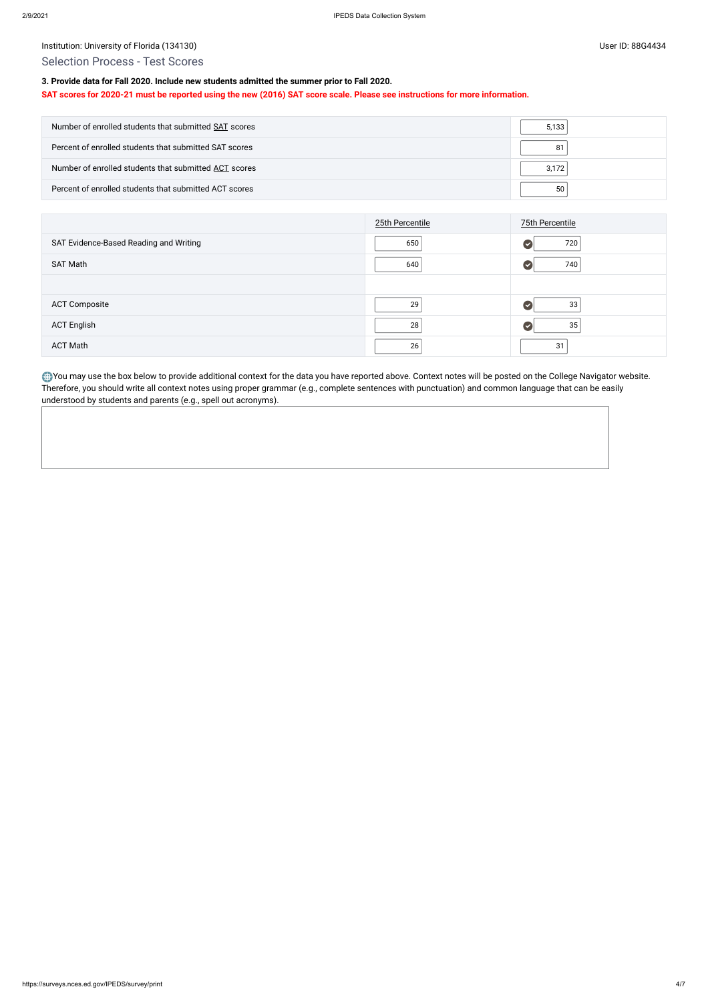Institution: University of Florida (134130) Contract the USE of Discovery of Elorida (134130)

### Selection Process - Test Scores

### **3. Provide data for Fall 2020. Include new students admitted the summer prior to Fall 2020.**

#### **SAT scores for 2020-21 must be reported using the new (2016) SAT score scale. Please see instructions for more information.**

| Number of enrolled students that submitted SAT scores  | 5.133 |
|--------------------------------------------------------|-------|
| Percent of enrolled students that submitted SAT scores |       |
| Number of enrolled students that submitted ACT scores  | 3.172 |
| Percent of enrolled students that submitted ACT scores | 50    |

|                                        | 25th Percentile | 75th Percentile |
|----------------------------------------|-----------------|-----------------|
| SAT Evidence-Based Reading and Writing | 650             | 720<br>✔        |
| <b>SAT Math</b>                        | 640             | 740             |
|                                        |                 |                 |
| <b>ACT Composite</b>                   | 29              | 33              |
| <b>ACT English</b>                     | 28              | 35              |
| <b>ACT Math</b>                        | 26              | 31              |

You may use the box below to provide additional context for the data you have reported above. Context notes will be posted on the College Navigator website. Therefore, you should write all context notes using proper grammar (e.g., complete sentences with punctuation) and common language that can be easily understood by students and parents (e.g., spell out acronyms).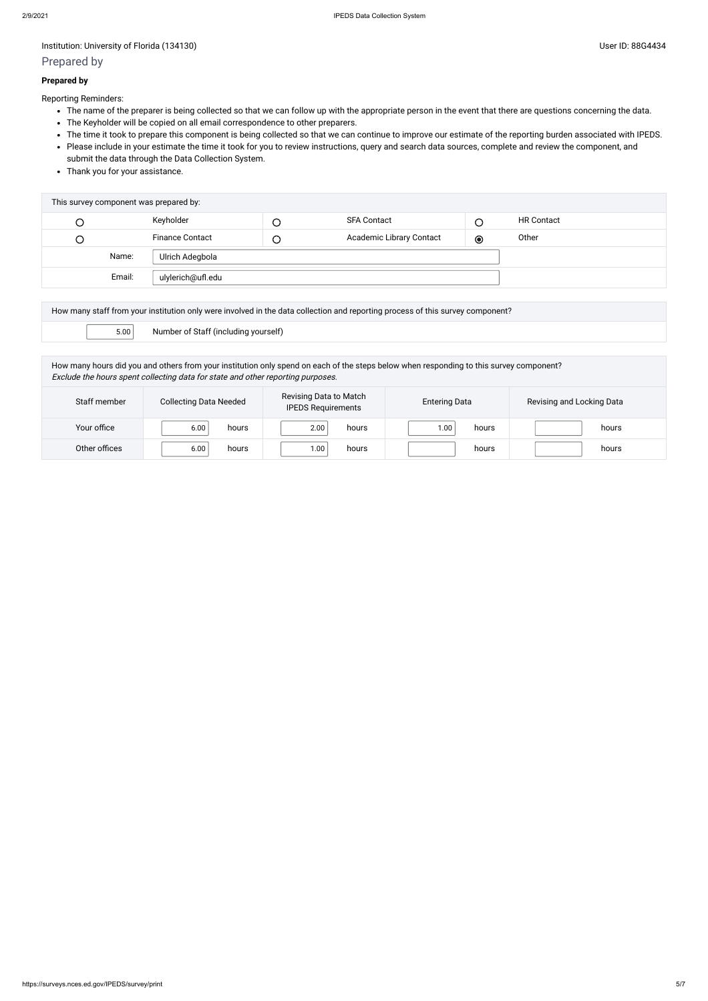Institution: University of Florida (134130) User ID: 88G4434

### Prepared by

#### **Prepared by**

Reporting Reminders:

- The name of the preparer is being collected so that we can follow up with the appropriate person in the event that there are questions concerning the data.
- The Keyholder will be copied on all email correspondence to other preparers.
- The time it took to prepare this component is being collected so that we can continue to improve our estimate of the reporting burden associated with IPEDS.
- Please include in your estimate the time it took for you to review instructions, query and search data sources, complete and review the component, and submit the data through the Data Collection System.
- Thank you for your assistance.

| This survey component was prepared by: |        |                        |        |                          |           |                   |
|----------------------------------------|--------|------------------------|--------|--------------------------|-----------|-------------------|
| C                                      |        | Keyholder              |        | <b>SFA Contact</b>       | С         | <b>HR Contact</b> |
| $\cup$                                 |        | <b>Finance Contact</b> | $\cup$ | Academic Library Contact | $\bullet$ | Other             |
|                                        | Name:  | Ulrich Adegbola        |        |                          |           |                   |
|                                        | Email: | ulylerich@ufl.edu      |        |                          |           |                   |
|                                        |        |                        |        |                          |           |                   |

| How many staff from your institution only were involved in the data collection and reporting process of this survey component? |                                      |  |  |
|--------------------------------------------------------------------------------------------------------------------------------|--------------------------------------|--|--|
| 5.00                                                                                                                           | Number of Staff (including yourself) |  |  |

How many hours did you and others from your institution only spend on each of the steps below when responding to this survey component? Exclude the hours spent collecting data for state and other reporting purposes.

| Staff member  | <b>Collecting Data Needed</b> | Revising Data to Match<br><b>IPEDS Requirements</b> | <b>Entering Data</b> | Revising and Locking Data |
|---------------|-------------------------------|-----------------------------------------------------|----------------------|---------------------------|
| Your office   | 6.00<br>hours                 | 2.00<br>hours                                       | $1.00\,$<br>hours    | hours                     |
| Other offices | 6.00<br>hours                 | 00.1<br>hours                                       | hours                | hours                     |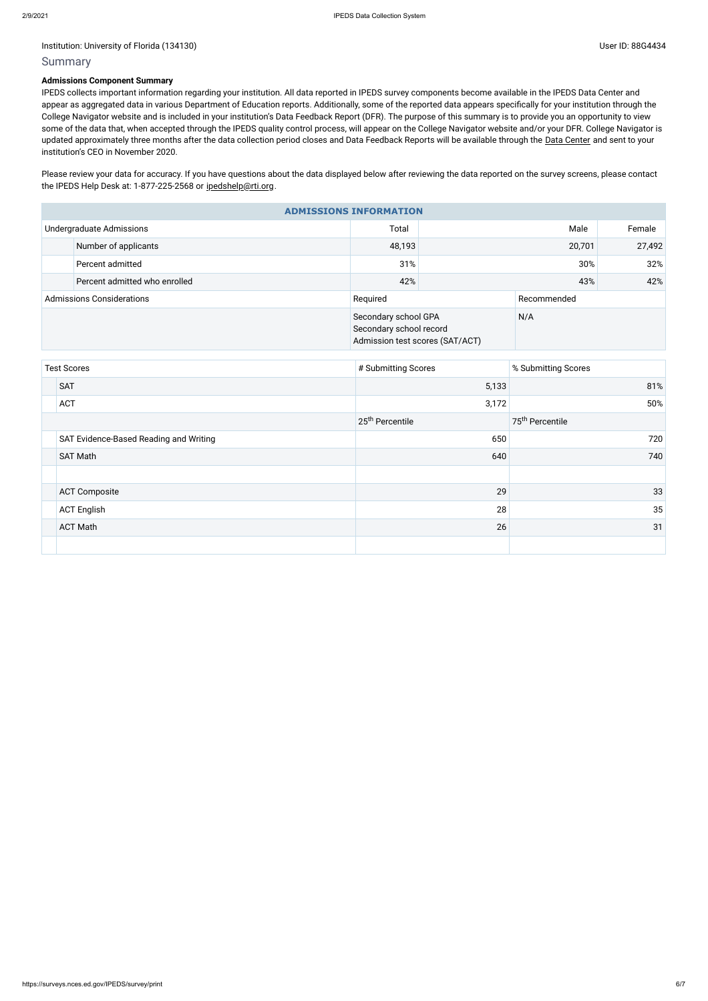### Summary

#### **Admissions Component Summary**

Please review your data for accuracy. If you have questions about the data displayed below after reviewing the data reported on the survey screens, please contact the IPEDS Help Desk at: 1-877-225-2568 or [ipedshelp@rti.org](mailto:ipedshelp@rti.org).

IPEDS collects important information regarding your institution. All data reported in IPEDS survey components become available in the IPEDS Data Center and appear as aggregated data in various Department of Education reports. Additionally, some of the reported data appears specifically for your institution through the College Navigator website and is included in your institution's Data Feedback Report (DFR). The purpose of this summary is to provide you an opportunity to view some of the data that, when accepted through the IPEDS quality control process, will appear on the College Navigator website and/or your DFR. College Navigator is updated approximately three months after the data collection period closes and Data Feedback Reports will be available through the Data [Center](https://nces.ed.gov/ipeds/use-the-data) and sent to your institution's CEO in November 2020.

| <b>ADMISSIONS INFORMATION</b>    |                               |                                                                                    |             |      |        |  |
|----------------------------------|-------------------------------|------------------------------------------------------------------------------------|-------------|------|--------|--|
|                                  | Undergraduate Admissions      | Total                                                                              |             | Male |        |  |
|                                  | Number of applicants          | 48,193                                                                             | 20,701      |      | 27,492 |  |
|                                  | Percent admitted              | 31%                                                                                | 30%         |      | 32%    |  |
|                                  | Percent admitted who enrolled | 42%                                                                                |             | 43%  |        |  |
| <b>Admissions Considerations</b> |                               | Required                                                                           | Recommended |      |        |  |
|                                  |                               | Secondary school GPA<br>Secondary school record<br>Admission test scores (SAT/ACT) |             | N/A  |        |  |

| <b>Test Scores</b> |                                        | # Submitting Scores         | % Submitting Scores         |
|--------------------|----------------------------------------|-----------------------------|-----------------------------|
|                    | <b>SAT</b>                             | 5,133                       | 81%                         |
|                    | <b>ACT</b>                             | 3,172                       | 50%                         |
|                    |                                        | 25 <sup>th</sup> Percentile | 75 <sup>th</sup> Percentile |
|                    | SAT Evidence-Based Reading and Writing | 650                         | 720                         |
|                    | <b>SAT Math</b>                        | 640                         | 740                         |
|                    |                                        |                             |                             |
|                    | <b>ACT Composite</b>                   | 29                          | 33                          |
|                    | <b>ACT English</b>                     | 28                          | 35                          |
|                    | <b>ACT Math</b>                        | 26                          | 31                          |
|                    |                                        |                             |                             |